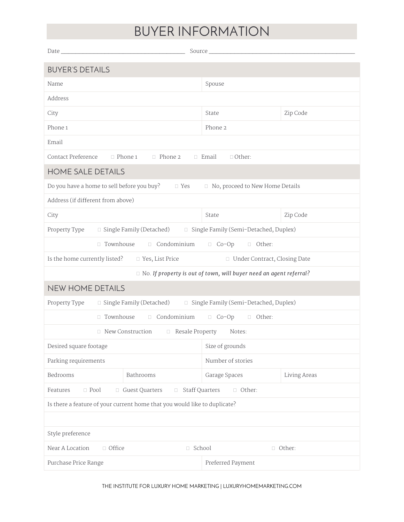## BUYER INFORMATION

| Date_                                                                                         | Source_           |              |  |  |
|-----------------------------------------------------------------------------------------------|-------------------|--------------|--|--|
| <b>BUYER'S DETAILS</b>                                                                        |                   |              |  |  |
| Name                                                                                          | Spouse            |              |  |  |
| Address                                                                                       |                   |              |  |  |
| City                                                                                          | State             | Zip Code     |  |  |
| Phone 1                                                                                       | Phone 2           |              |  |  |
| Email                                                                                         |                   |              |  |  |
| Contact Preference<br>$\Box$ Phone 1 $\Box$ Phone 2<br>□ Email<br>$\Box$ Other:               |                   |              |  |  |
| HOME SALE DETAILS                                                                             |                   |              |  |  |
| Do you have a home to sell before you buy?<br>□ No, proceed to New Home Details<br>$\Box$ Yes |                   |              |  |  |
| Address (if different from above)                                                             |                   |              |  |  |
| City                                                                                          | State             | Zip Code     |  |  |
| □ Single Family (Detached) □ Single Family (Semi-Detached, Duplex)<br>Property Type           |                   |              |  |  |
| $\Box$ Condominium<br>$\Box$ Townhouse<br>$\Box$ Co-Op<br><b>D</b> Other:                     |                   |              |  |  |
| Is the home currently listed?<br>□ Yes, List Price<br>□ Under Contract, Closing Date          |                   |              |  |  |
| $\Box$ No. If property is out of town, will buyer need an agent referral?                     |                   |              |  |  |
| <b>NEW HOME DETAILS</b>                                                                       |                   |              |  |  |
| Property Type<br>□ Single Family (Detached)<br>□ Single Family (Semi-Detached, Duplex)        |                   |              |  |  |
| □ Townhouse<br>Condominium<br>$\Box$ Co-Op<br>□ Other:                                        |                   |              |  |  |
| □ New Construction<br>Resale Property<br>Notes:                                               |                   |              |  |  |
| Desired square footage                                                                        | Size of grounds   |              |  |  |
| Number of stories<br>Parking requirements                                                     |                   |              |  |  |
| Bedrooms<br>Bathrooms                                                                         | Garage Spaces     | Living Areas |  |  |
| $\Box$ Pool<br>Guest Quarters<br>Staff Quarters<br>□ Other:<br>Features<br>$\Box$<br>$\Box$   |                   |              |  |  |
| Is there a feature of your current home that you would like to duplicate?                     |                   |              |  |  |
|                                                                                               |                   |              |  |  |
| Style preference                                                                              |                   |              |  |  |
| Near A Location<br>$\Box$ Office<br>□ School<br>□ Other:                                      |                   |              |  |  |
| Purchase Price Range                                                                          | Preferred Payment |              |  |  |

THE INSTITUTE FOR LUXURY HOME MARKETING | LUXURYHOMEMARKETING.COM